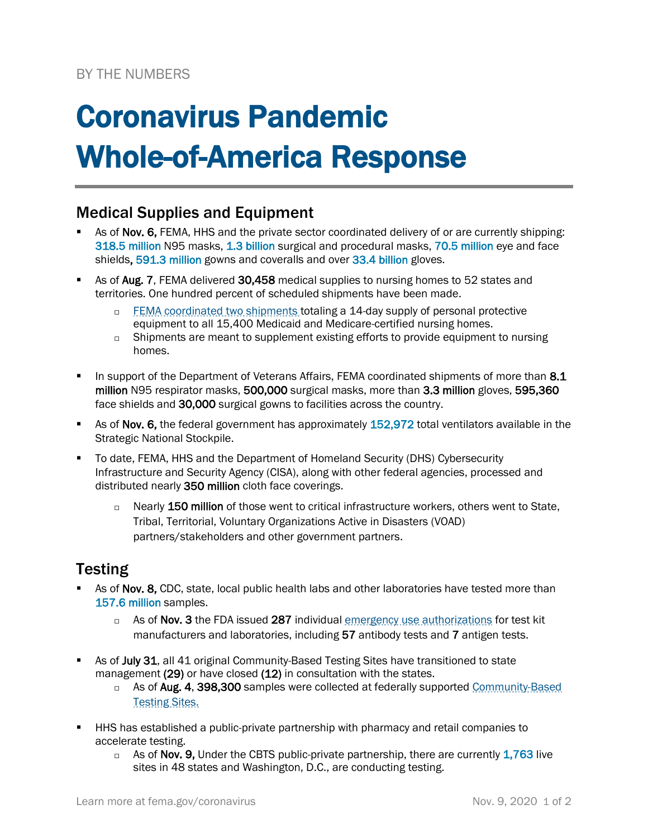# Coronavirus Pandemic Whole-of-America Response

## Medical Supplies and Equipment

- As of Nov. 6, FEMA, HHS and the private sector coordinated delivery of or are currently shipping: 318.5 million N95 masks, 1.3 billion surgical and procedural masks, 70.5 million eye and face shields, 591.3 million gowns and coveralls and over 33.4 billion gloves.
- As of Aug. 7, FEMA delivered 30,458 medical supplies to nursing homes to 52 states and territories. One hundred percent of scheduled shipments have been made.
	- □ [FEMA coordinated](https://www.fema.gov/news-release/2020/04/30/personal-protective-equipment-medicare-and-medicaid-nursing-homes) two shipments totaling a 14-day supply of personal protective equipment to all 15,400 Medicaid and Medicare-certified nursing homes.
	- $\Box$  Shipments are meant to supplement existing efforts to provide equipment to nursing homes.
- In support of the Department of Veterans Affairs, FEMA coordinated shipments of more than 8.1 million N95 respirator masks, 500,000 surgical masks, more than 3.3 million gloves, 595,360 face shields and 30,000 surgical gowns to facilities across the country.
- As of Nov. 6, the federal government has approximately 152,972 total ventilators available in the Strategic National Stockpile.
- To date, FEMA, HHS and the Department of Homeland Security (DHS) Cybersecurity Infrastructure and Security Agency (CISA), along with other federal agencies, processed and distributed nearly 350 million cloth face coverings.
	- □ Nearly 150 million of those went to critical infrastructure workers, others went to State, Tribal, Territorial, Voluntary Organizations Active in Disasters (VOAD) partners/stakeholders and other government partners.

### **Testing**

- As of Nov. 8, CDC, state, local public health labs and other laboratories have tested more than 157.6 million samples.
	- □ As of Nov. 3 the FDA issued 287 individual [emergency use authorizations](https://www.fda.gov/medical-devices/emergency-situations-medical-devices/emergency-use-authorizations) for test kit manufacturers and laboratories, including 57 antibody tests and 7 antigen tests.
- As of July 31, all 41 original Community-Based Testing Sites have transitioned to state management (29) or have closed (12) in consultation with the states.
	- □ As of Aug. 4, 398,300 samples were collected at federally supported Community-Based [Testing Sites.](https://www.hhs.gov/coronavirus/community-based-testing-sites/index.html)
- HHS has established a public-private partnership with pharmacy and retail companies to accelerate testing.
	- $\Box$  As of Nov. 9, Under the CBTS public-private partnership, there are currently 1,763 live sites in 48 states and Washington, D.C., are conducting testing.